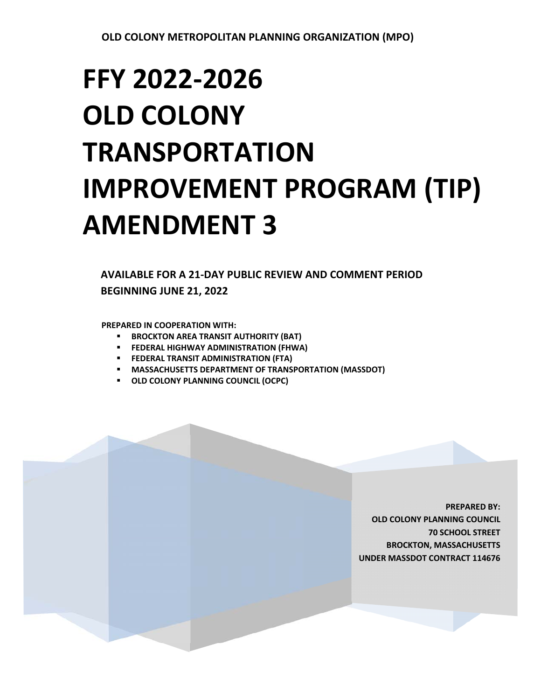# **FFY 2022‐2026 OLD COLONY TRANSPORTATION IMPROVEMENT PROGRAM (TIP) AMENDMENT 3**

**AVAILABLE FOR A 21‐DAY PUBLIC REVIEW AND COMMENT PERIOD BEGINNING JUNE 21, 2022** 

**PREPARED IN COOPERATION WITH:** 

- **BROCKTON AREA TRANSIT AUTHORITY (BAT)**
- **FEDERAL HIGHWAY ADMINISTRATION (FHWA)**
- **FEDERAL TRANSIT ADMINISTRATION (FTA)**
- **MASSACHUSETTS DEPARTMENT OF TRANSPORTATION (MASSDOT)**
- **OLD COLONY PLANNING COUNCIL (OCPC)**

**PREPARED BY: OLD COLONY PLANNING COUNCIL 70 SCHOOL STREET BROCKTON, MASSACHUSETTS UNDER MASSDOT CONTRACT 114676**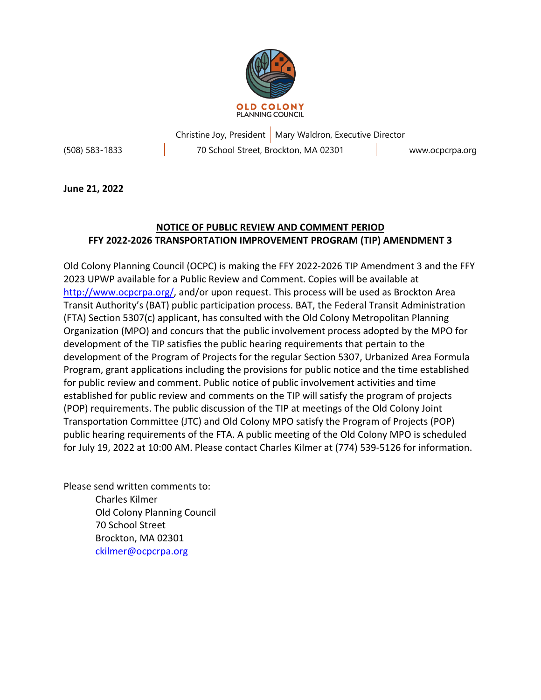

Christine Joy, President | Mary Waldron, Executive Director (508) 583-1833 70 School Street, Brockton, MA 02301 www.ocpcrpa.org

**June 21, 2022**

## **NOTICE OF PUBLIC REVIEW AND COMMENT PERIOD FFY 2022-2026 TRANSPORTATION IMPROVEMENT PROGRAM (TIP) AMENDMENT 3**

Old Colony Planning Council (OCPC) is making the FFY 2022-2026 TIP Amendment 3 and the FFY 2023 UPWP available for a Public Review and Comment. Copies will be available at <http://www.ocpcrpa.org/>, and/or upon request. This process will be used as Brockton Area Transit Authority's (BAT) public participation process. BAT, the Federal Transit Administration (FTA) Section 5307(c) applicant, has consulted with the Old Colony Metropolitan Planning Organization (MPO) and concurs that the public involvement process adopted by the MPO for development of the TIP satisfies the public hearing requirements that pertain to the development of the Program of Projects for the regular Section 5307, Urbanized Area Formula Program, grant applications including the provisions for public notice and the time established for public review and comment. Public notice of public involvement activities and time established for public review and comments on the TIP will satisfy the program of projects (POP) requirements. The public discussion of the TIP at meetings of the Old Colony Joint Transportation Committee (JTC) and Old Colony MPO satisfy the Program of Projects (POP) public hearing requirements of the FTA. A public meeting of the Old Colony MPO is scheduled for July 19, 2022 at 10:00 AM. Please contact Charles Kilmer at (774) 539-5126 for information.

Please send written comments to: Charles Kilmer Old Colony Planning Council 70 School Street Brockton, MA 02301 [ckilmer@ocpcrpa.org](mailto:ckilmer@ocpcrpa.org)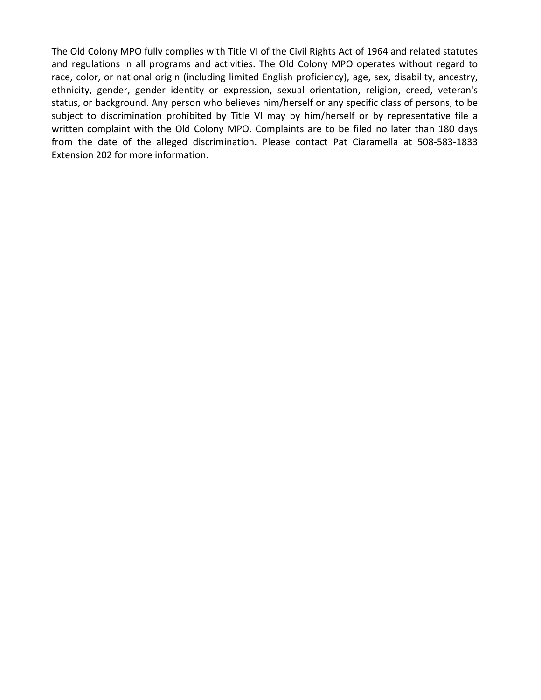The Old Colony MPO fully complies with Title VI of the Civil Rights Act of 1964 and related statutes and regulations in all programs and activities. The Old Colony MPO operates without regard to race, color, or national origin (including limited English proficiency), age, sex, disability, ancestry, ethnicity, gender, gender identity or expression, sexual orientation, religion, creed, veteran's status, or background. Any person who believes him/herself or any specific class of persons, to be subject to discrimination prohibited by Title VI may by him/herself or by representative file a written complaint with the Old Colony MPO. Complaints are to be filed no later than 180 days from the date of the alleged discrimination. Please contact Pat Ciaramella at 508-583-1833 Extension 202 for more information.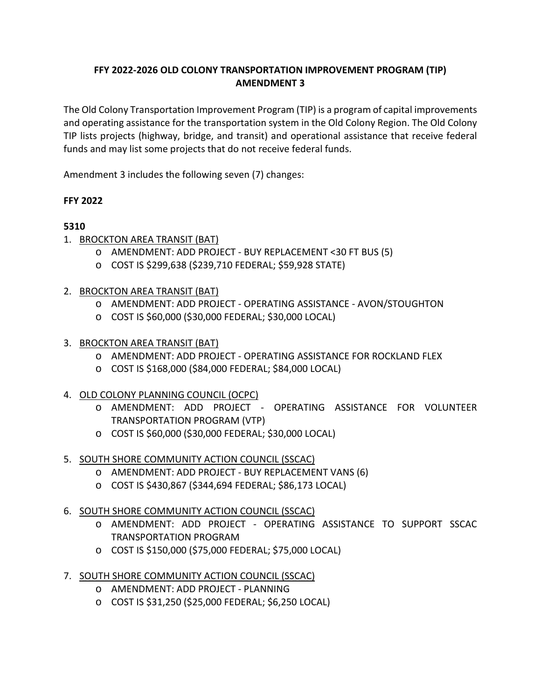### **FFY 2022-2026 OLD COLONY TRANSPORTATION IMPROVEMENT PROGRAM (TIP) AMENDMENT 3**

The Old Colony Transportation Improvement Program (TIP) is a program of capital improvements and operating assistance for the transportation system in the Old Colony Region. The Old Colony TIP lists projects (highway, bridge, and transit) and operational assistance that receive federal funds and may list some projects that do not receive federal funds.

Amendment 3 includes the following seven (7) changes:

### **FFY 2022**

# **5310**

- 1. BROCKTON AREA TRANSIT (BAT)
	- o AMENDMENT: ADD PROJECT BUY REPLACEMENT <30 FT BUS (5)
	- o COST IS \$299,638 (\$239,710 FEDERAL; \$59,928 STATE)
- 2. BROCKTON AREA TRANSIT (BAT)
	- o AMENDMENT: ADD PROJECT OPERATING ASSISTANCE AVON/STOUGHTON
	- o COST IS \$60,000 (\$30,000 FEDERAL; \$30,000 LOCAL)
- 3. BROCKTON AREA TRANSIT (BAT)
	- o AMENDMENT: ADD PROJECT OPERATING ASSISTANCE FOR ROCKLAND FLEX
	- o COST IS \$168,000 (\$84,000 FEDERAL; \$84,000 LOCAL)
- 4. OLD COLONY PLANNING COUNCIL (OCPC)
	- o AMENDMENT: ADD PROJECT OPERATING ASSISTANCE FOR VOLUNTEER TRANSPORTATION PROGRAM (VTP)
	- o COST IS \$60,000 (\$30,000 FEDERAL; \$30,000 LOCAL)
- 5. SOUTH SHORE COMMUNITY ACTION COUNCIL (SSCAC)
	- o AMENDMENT: ADD PROJECT BUY REPLACEMENT VANS (6)
	- o COST IS \$430,867 (\$344,694 FEDERAL; \$86,173 LOCAL)
- 6. SOUTH SHORE COMMUNITY ACTION COUNCIL (SSCAC)
	- o AMENDMENT: ADD PROJECT OPERATING ASSISTANCE TO SUPPORT SSCAC TRANSPORTATION PROGRAM
	- o COST IS \$150,000 (\$75,000 FEDERAL; \$75,000 LOCAL)
- 7. SOUTH SHORE COMMUNITY ACTION COUNCIL (SSCAC)
	- o AMENDMENT: ADD PROJECT PLANNING
	- o COST IS \$31,250 (\$25,000 FEDERAL; \$6,250 LOCAL)